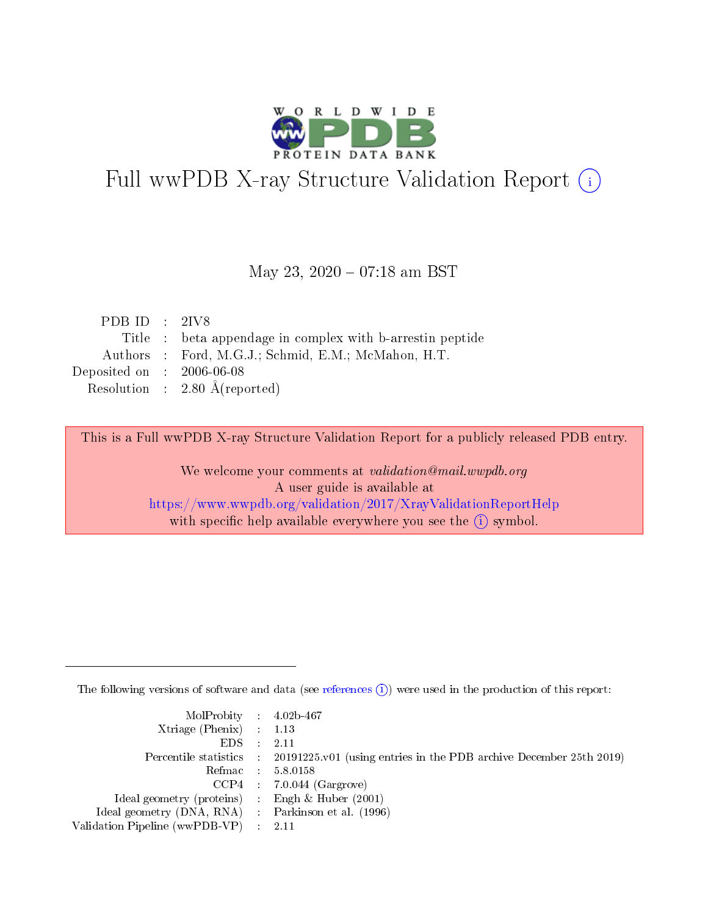

# Full wwPDB X-ray Structure Validation Report (i)

#### May 23, 2020 - 07:18 am BST

| PDB ID : $2IV8$             |                                                           |
|-----------------------------|-----------------------------------------------------------|
|                             | Title : beta appendage in complex with b-arrestin peptide |
|                             | Authors : Ford, M.G.J.; Schmid, E.M.; McMahon, H.T.       |
| Deposited on : $2006-06-08$ |                                                           |
|                             | Resolution : $2.80 \text{ Å}$ (reported)                  |

This is a Full wwPDB X-ray Structure Validation Report for a publicly released PDB entry.

We welcome your comments at validation@mail.wwpdb.org A user guide is available at <https://www.wwpdb.org/validation/2017/XrayValidationReportHelp> with specific help available everywhere you see the  $(i)$  symbol.

The following versions of software and data (see [references](https://www.wwpdb.org/validation/2017/XrayValidationReportHelp#references)  $(i)$ ) were used in the production of this report:

| MolProbity : $4.02b-467$                            |                                                                                            |
|-----------------------------------------------------|--------------------------------------------------------------------------------------------|
| Xtriage (Phenix) $: 1.13$                           |                                                                                            |
| EDS -                                               | 2.11                                                                                       |
|                                                     | Percentile statistics : 20191225.v01 (using entries in the PDB archive December 25th 2019) |
|                                                     | Refmac 58.0158                                                                             |
|                                                     | $CCP4$ 7.0.044 (Gargrove)                                                                  |
| Ideal geometry (proteins) : Engh $\&$ Huber (2001)  |                                                                                            |
| Ideal geometry (DNA, RNA) : Parkinson et al. (1996) |                                                                                            |
| Validation Pipeline (wwPDB-VP)                      | -2.11                                                                                      |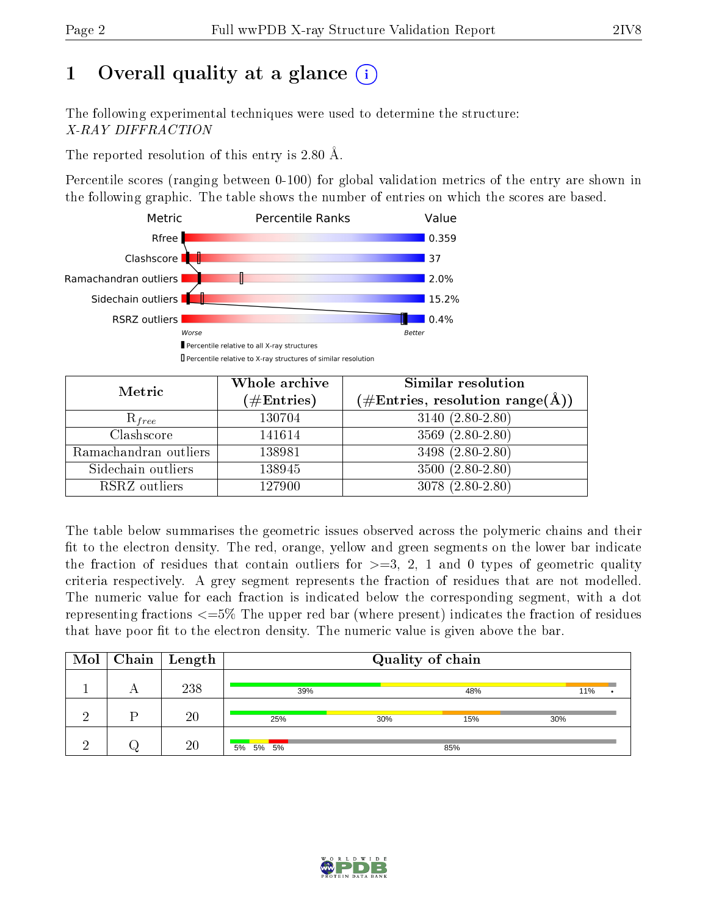# 1 [O](https://www.wwpdb.org/validation/2017/XrayValidationReportHelp#overall_quality)verall quality at a glance  $(i)$

The following experimental techniques were used to determine the structure: X-RAY DIFFRACTION

The reported resolution of this entry is 2.80 Å.

Percentile scores (ranging between 0-100) for global validation metrics of the entry are shown in the following graphic. The table shows the number of entries on which the scores are based.



| Metric                | Whole archive<br>$(\#\mathrm{Entries})$ | Similar resolution<br>$(\#\text{Entries},\,\text{resolution}\,\,\text{range}(\textup{\AA}))$ |
|-----------------------|-----------------------------------------|----------------------------------------------------------------------------------------------|
| $R_{free}$            | 130704                                  | $3140 (2.80 - 2.80)$                                                                         |
| Clashscore            | 141614                                  | $3569(2.80-2.80)$                                                                            |
| Ramachandran outliers | 138981                                  | 3498 (2.80-2.80)                                                                             |
| Sidechain outliers    | 138945                                  | $3500(2.80-2.80)$                                                                            |
| RSRZ outliers         | 127900                                  | $3078(2.80-2.80)$                                                                            |

The table below summarises the geometric issues observed across the polymeric chains and their fit to the electron density. The red, orange, yellow and green segments on the lower bar indicate the fraction of residues that contain outliers for  $>=3, 2, 1$  and 0 types of geometric quality criteria respectively. A grey segment represents the fraction of residues that are not modelled. The numeric value for each fraction is indicated below the corresponding segment, with a dot representing fractions  $\epsilon=5\%$  The upper red bar (where present) indicates the fraction of residues that have poor fit to the electron density. The numeric value is given above the bar.

| $\text{Mol}$ |    | $\mid$ Chain $\mid$ Length | Quality of chain |     |     |     |  |  |
|--------------|----|----------------------------|------------------|-----|-----|-----|--|--|
|              |    | 238                        | 39%              |     | 48% | 11% |  |  |
|              | רז | 20                         | 25%              | 30% | 15% | 30% |  |  |
|              |    | 20                         | 5% 5% 5%         |     | 85% |     |  |  |

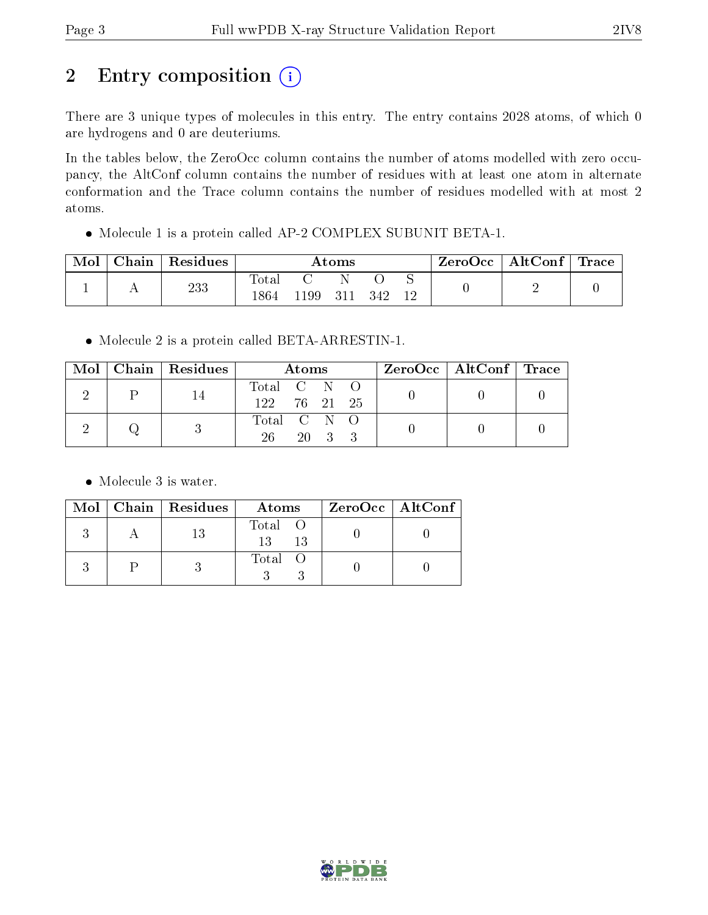# 2 Entry composition (i)

There are 3 unique types of molecules in this entry. The entry contains 2028 atoms, of which 0 are hydrogens and 0 are deuteriums.

In the tables below, the ZeroOcc column contains the number of atoms modelled with zero occupancy, the AltConf column contains the number of residues with at least one atom in alternate conformation and the Trace column contains the number of residues modelled with at most 2 atoms.

Molecule 1 is a protein called AP-2 COMPLEX SUBUNIT BETA-1.

| Mol | Chain | Residues | Atoms                    |     |  |     | ZeroOcc | $\mid$ AltConf $\mid$ Trace |  |  |
|-----|-------|----------|--------------------------|-----|--|-----|---------|-----------------------------|--|--|
|     | . .   | 233      | $\mathrm{Tota}.$<br>1864 | .99 |  | 342 | N<br>12 |                             |  |  |

Molecule 2 is a protein called BETA-ARRESTIN-1.

|  |  | Mol   Chain   Residues | Atoms        |  |        |  | $\text{ZeroOcc} \mid \text{AltConf} \mid \text{Trace}$ |  |
|--|--|------------------------|--------------|--|--------|--|--------------------------------------------------------|--|
|  |  |                        | Total C N O  |  |        |  |                                                        |  |
|  |  |                        | 122 76 21 25 |  |        |  |                                                        |  |
|  |  | Total C N O            |              |  |        |  |                                                        |  |
|  |  |                        | 26 -         |  | 20 3 3 |  |                                                        |  |

• Molecule 3 is water.

|  | Mol   Chain   Residues | Atoms                | ZeroOcc   AltConf |
|--|------------------------|----------------------|-------------------|
|  |                        | Total O<br>13<br>-13 |                   |
|  |                        | Total O              |                   |

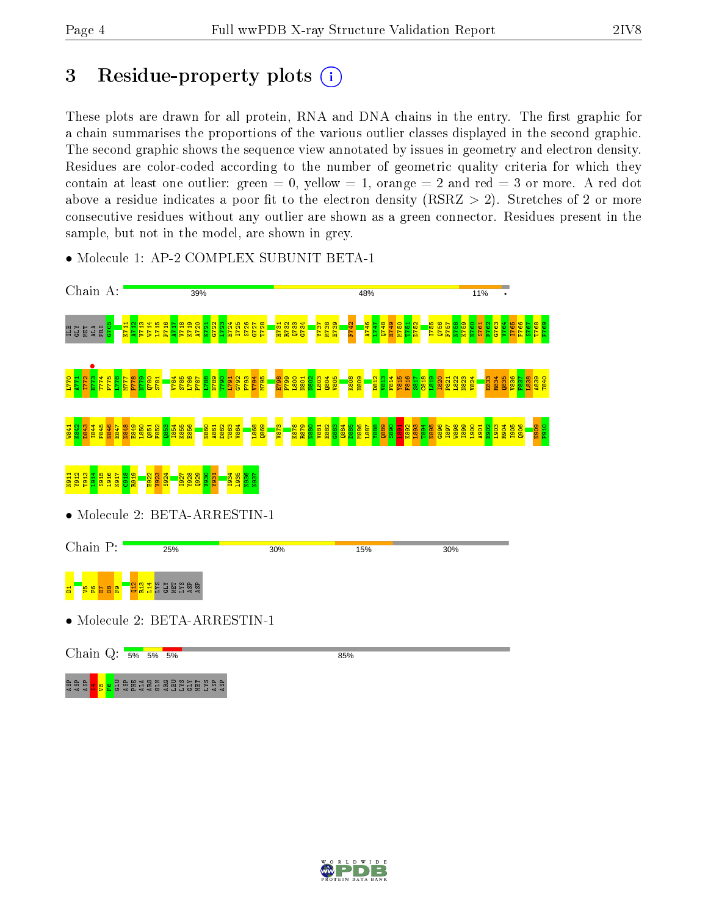## 3 Residue-property plots  $(i)$

These plots are drawn for all protein, RNA and DNA chains in the entry. The first graphic for a chain summarises the proportions of the various outlier classes displayed in the second graphic. The second graphic shows the sequence view annotated by issues in geometry and electron density. Residues are color-coded according to the number of geometric quality criteria for which they contain at least one outlier: green  $= 0$ , yellow  $= 1$ , orange  $= 2$  and red  $= 3$  or more. A red dot above a residue indicates a poor fit to the electron density (RSRZ  $> 2$ ). Stretches of 2 or more consecutive residues without any outlier are shown as a green connector. Residues present in the sample, but not in the model, are shown in grey.



• Molecule 1: AP-2 COMPLEX SUBUNIT BETA-1

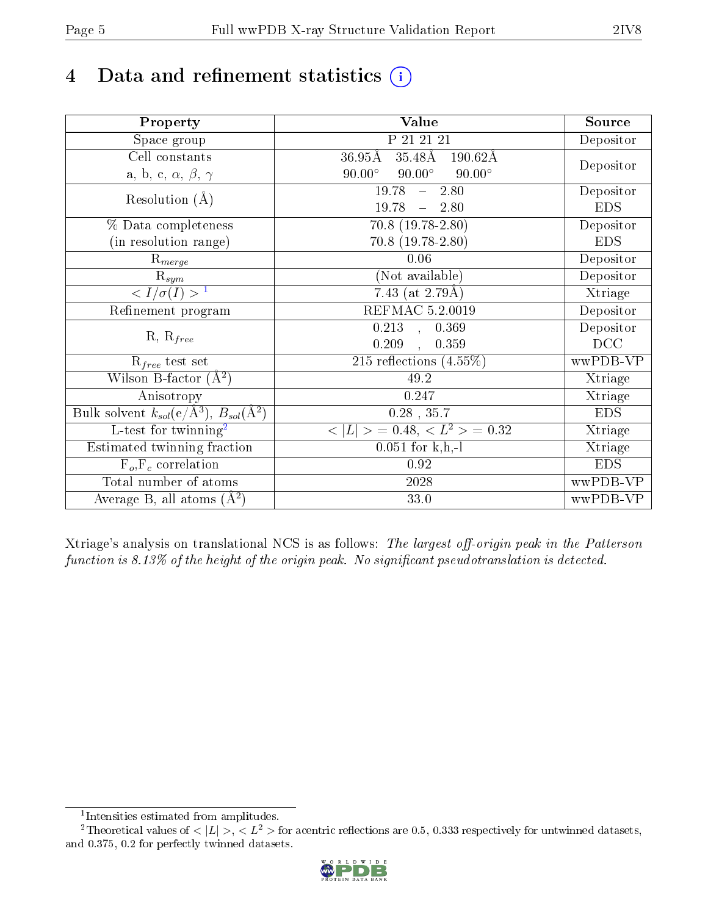# 4 Data and refinement statistics  $(i)$

| Property                                                             | Value                                                     | Source     |
|----------------------------------------------------------------------|-----------------------------------------------------------|------------|
| Space group                                                          | $P_21_21_21_1$                                            | Depositor  |
| Cell constants                                                       | $36.95\rm \AA$<br>$35.48\text{\AA}$<br>$190.62\text{\AA}$ |            |
| a, b, c, $\alpha$ , $\beta$ , $\gamma$                               | $90.00^\circ$<br>$90.00^\circ$<br>$90.00^\circ$           | Depositor  |
| Resolution $(A)$                                                     | 19.78<br>$-2.80$                                          | Depositor  |
|                                                                      | 19.78<br>$-2.80$                                          | <b>EDS</b> |
| % Data completeness                                                  | $70.8$ $(19.78-2.80)$                                     | Depositor  |
| (in resolution range)                                                | $70.8$ $(19.78-2.80)$                                     | <b>EDS</b> |
| $R_{merge}$                                                          | 0.06                                                      | Depositor  |
| $\mathrm{R}_{sym}$                                                   | (Not available)                                           | Depositor  |
| $\langle I/\sigma(I) \rangle$ <sup>1</sup>                           | $\overline{7.43}$ (at 2.79Å)                              | Xtriage    |
| Refinement program                                                   | REFMAC 5.2.0019                                           | Depositor  |
|                                                                      | $\overline{0.213}$ ,<br>0.369                             | Depositor  |
| $R, R_{free}$                                                        | 0.209<br>0.359<br>$\mathbb{R}^2$                          | DCC        |
| $\mathcal{R}_{free}$ test set                                        | 215 reflections $(4.55\%)$                                | wwPDB-VP   |
| Wilson B-factor $(A^2)$                                              | 49.2                                                      | Xtriage    |
| Anisotropy                                                           | 0.247                                                     | Xtriage    |
| Bulk solvent $k_{sol}(e/\mathring{A}^3)$ , $B_{sol}(\mathring{A}^2)$ | $0.28$ , $35.7$                                           | <b>EDS</b> |
| L-test for twinning <sup>2</sup>                                     | $< L >$ = 0.48, $< L2$ = 0.32                             | Xtriage    |
| Estimated twinning fraction                                          | $0.051$ for $k, h, -l$                                    | Xtriage    |
| $F_o, F_c$ correlation                                               | 0.92                                                      | <b>EDS</b> |
| Total number of atoms                                                | 2028                                                      | wwPDB-VP   |
| Average B, all atoms $(A^2)$                                         | 33.0                                                      | wwPDB-VP   |

Xtriage's analysis on translational NCS is as follows: The largest off-origin peak in the Patterson function is  $8.13\%$  of the height of the origin peak. No significant pseudotranslation is detected.

<sup>&</sup>lt;sup>2</sup>Theoretical values of  $\langle |L| \rangle$ ,  $\langle L^2 \rangle$  for acentric reflections are 0.5, 0.333 respectively for untwinned datasets, and 0.375, 0.2 for perfectly twinned datasets.



<span id="page-4-1"></span><span id="page-4-0"></span><sup>1</sup> Intensities estimated from amplitudes.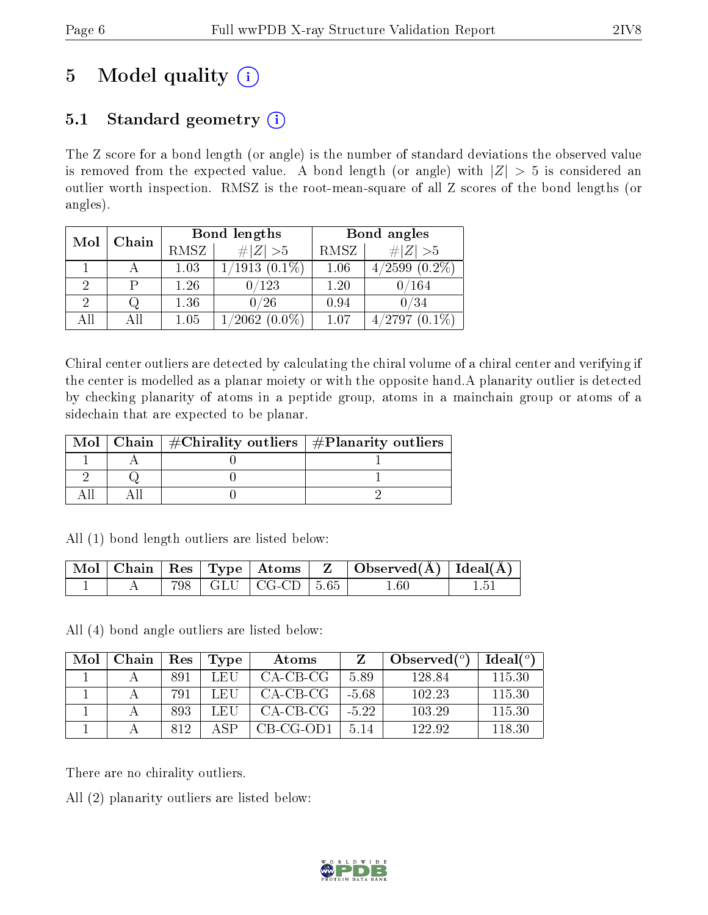# 5 Model quality  $(i)$

## 5.1 Standard geometry  $(i)$

The Z score for a bond length (or angle) is the number of standard deviations the observed value is removed from the expected value. A bond length (or angle) with  $|Z| > 5$  is considered an outlier worth inspection. RMSZ is the root-mean-square of all Z scores of the bond lengths (or angles).

| Mol | Chain |      | Bond lengths            | Bond angles |                    |  |
|-----|-------|------|-------------------------|-------------|--------------------|--|
|     |       | RMSZ | # $ Z >5$               | RMSZ        | # $ Z >5$          |  |
|     |       | 1.03 | 1/1913<br>$(0.1\%)$     | 1.06        | /2599<br>$(0.2\%)$ |  |
| ച   |       | 1.26 | $/123\,$                | 1.20        | $/164\,$           |  |
| ച   |       | 1.36 | $/26\,$                 | 0.94        | 0/34               |  |
| All |       | 1.05 | $\sqrt{2062}$ $(0.0\%)$ | 1.07        | /2797              |  |

Chiral center outliers are detected by calculating the chiral volume of a chiral center and verifying if the center is modelled as a planar moiety or with the opposite hand.A planarity outlier is detected by checking planarity of atoms in a peptide group, atoms in a mainchain group or atoms of a sidechain that are expected to be planar.

|  | Mol   Chain   $\#\text{Chirality outliers}$   $\#\text{Planarity outliers}$ |
|--|-----------------------------------------------------------------------------|
|  |                                                                             |
|  |                                                                             |
|  |                                                                             |

All (1) bond length outliers are listed below:

|  |  |                          | $\mid$ Mol $\mid$ Chain $\mid$ Res $\mid$ Type $\mid$ Atoms $\mid$ Z $\mid$ Observed(A) $\mid$ Ideal(A) |  |
|--|--|--------------------------|---------------------------------------------------------------------------------------------------------|--|
|  |  | 798   GLU   CG-CD   5.65 | $1.60\,$                                                                                                |  |

All (4) bond angle outliers are listed below:

| Mol | Chain | Res | Type | Atoms     |         | Observed $(°)$ | $Ideal(^o)$ |
|-----|-------|-----|------|-----------|---------|----------------|-------------|
|     |       | 891 | LEU  | CA-CB-CG  | 5.89    | 128.84         | 115.30      |
|     |       | 791 | LEU  | CA-CB-CG  | $-5.68$ | 102.23         | 115.30      |
|     |       | 893 | LEU  | CA-CB-CG  | $-5.22$ | 103.29         | 115.30      |
|     |       | 819 | ΔSΡ  | CB-CG-OD1 | 5.14    | 122.92         | 118.30      |

There are no chirality outliers.

All (2) planarity outliers are listed below:

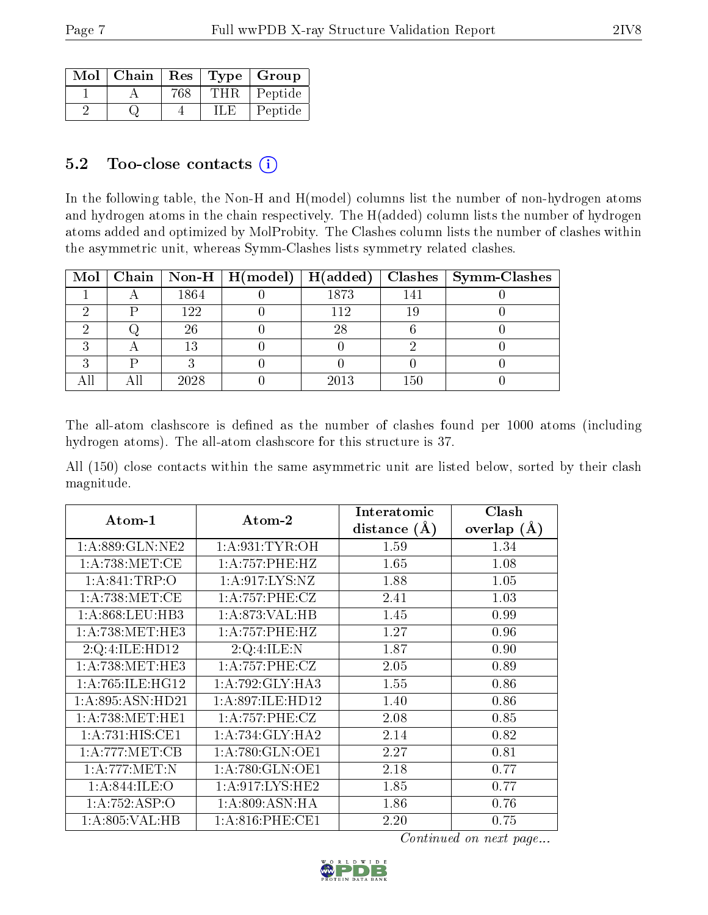| Mol | Chain | Res |     | Type   Group |
|-----|-------|-----|-----|--------------|
|     |       |     | THR | Peptide      |
|     |       |     |     | Peptide      |

### 5.2 Too-close contacts  $(i)$

In the following table, the Non-H and H(model) columns list the number of non-hydrogen atoms and hydrogen atoms in the chain respectively. The H(added) column lists the number of hydrogen atoms added and optimized by MolProbity. The Clashes column lists the number of clashes within the asymmetric unit, whereas Symm-Clashes lists symmetry related clashes.

|  |      | Mol   Chain   Non-H   H(model)   H(added) |      |     | Clashes   Symm-Clashes |
|--|------|-------------------------------------------|------|-----|------------------------|
|  | 1864 |                                           | 1873 | 141 |                        |
|  | 122  |                                           | 112  |     |                        |
|  | 26   |                                           | 28   |     |                        |
|  | 13   |                                           |      |     |                        |
|  |      |                                           |      |     |                        |
|  | 2028 |                                           | 2013 | 150 |                        |

The all-atom clashscore is defined as the number of clashes found per 1000 atoms (including hydrogen atoms). The all-atom clashscore for this structure is 37.

All (150) close contacts within the same asymmetric unit are listed below, sorted by their clash magnitude.

| Atom-1              | Atom-2              | Interatomic    | Clash           |
|---------------------|---------------------|----------------|-----------------|
|                     |                     | distance $(A)$ | overlap $(\AA)$ |
| 1: A:889: GLN: NE2  | 1: A:931: TYR:OH    | 1.59           | 1.34            |
| 1: A:738: MET:CE    | 1:A:757:PHE:HZ      | 1.65           | 1.08            |
| 1: A:841:TRP:O      | 1: A:917: LYS: NZ   | 1.88           | 1.05            |
| 1: A:738: MET:CE    | 1: A:757:PHE:CZ     | 2.41           | 1.03            |
| 1: A:868:LEU:HB3    | 1:A:873:VAL:HB      | 1.45           | 0.99            |
| 1: A:738: MET:HE3   | 1:A:757:PHE:HZ      | 1.27           | 0.96            |
| 2:Q:4:ILE:HD12      | 2:Q:4:ILE:N         | 1.87           | 0.90            |
| 1: A:738:MET:HE3    | 1: A:757:PHE: CZ    | 2.05           | 0.89            |
| 1: A:765: ILE: HG12 | 1: A:792: GLY:HA3   | 1.55           | 0.86            |
| 1: A:895: ASN:HD21  | 1:A:897:ILE:HD12    | 1.40           | 0.86            |
| 1: A:738: MET:HE1   | 1: A:757:PHE: CZ    | 2.08           | 0.85            |
| 1:A:731:HIS:CE1     | 1: A:734: GLY: HA2  | 2.14           | 0.82            |
| 1: A:777: MET:CB    | 1: A:780: GLN:OE1   | 2.27           | 0.81            |
| 1: A:777: MET: N    | 1: A:780: GLN:OE1   | 2.18           | 0.77            |
| 1: A:844: ILE: O    | 1: A:917: LYS: HE2  | 1.85           | 0.77            |
| 1:A:752:ASP:O       | 1: A:809: ASN: HA   | 1.86           | 0.76            |
| 1:A:805:VAL:HB      | $1: A:816:$ PHE:CE1 | 2.20           | 0.75            |

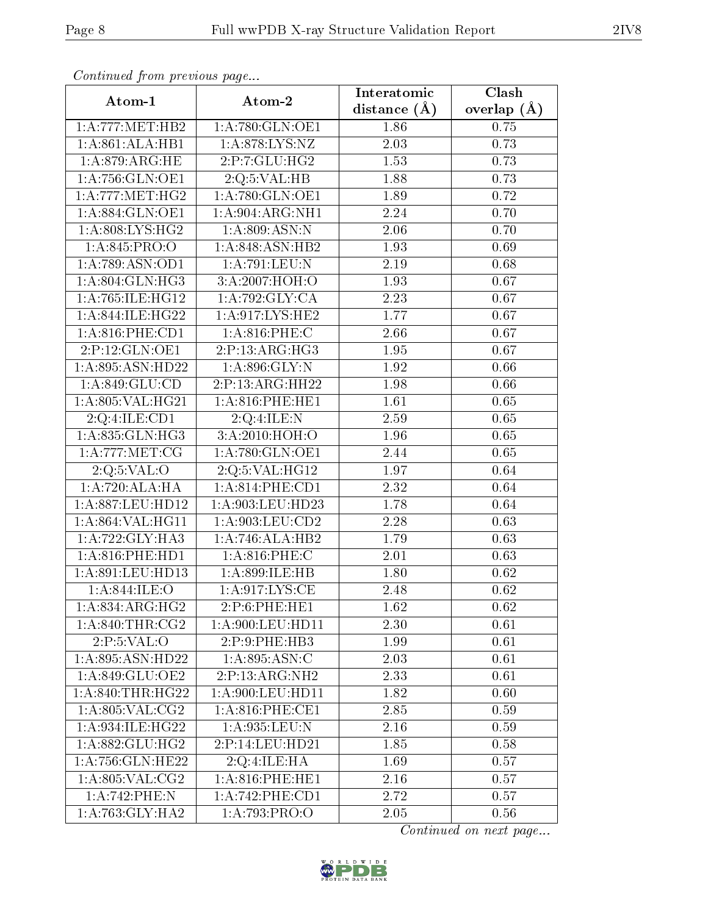| Comunaca jiom previous page |                          | Interatomic    | Clash             |
|-----------------------------|--------------------------|----------------|-------------------|
| Atom-1                      | Atom-2                   | distance $(A)$ | overlap $(\AA)$   |
| 1:A:777:MET:HB2             | 1: A:780: GLN:OE1        | 1.86           | $0.75\,$          |
| 1:A:861:ALA:HB1             | 1:A:878:LYS:NZ           | 2.03           | 0.73              |
| 1: A:879:ARG:HE             | 2:P:7:GLU:HG2            | 1.53           | 0.73              |
| 1: A:756: GLN:OE1           | 2:Q:5:VAL:HB             | 1.88           | 0.73              |
| 1: A:777:MET:HG2            | 1:A:780:GLN:OE1          | 1.89           | 0.72              |
| 1:A:884:GLN:OE1             | 1: A:904: ARG: NH1       | 2.24           | 0.70              |
| 1: A:808: LYS: HG2          | 1: A:809: ASN:N          | 2.06           | 0.70              |
| 1: A:845: PRO:O             | 1: A:848:ASN:HB2         | 1.93           | 0.69              |
| 1:A:789:ASN:OD1             | 1:A:791:LEU:N            | 2.19           | 0.68              |
| 1:A:804:GLN:HG3             | 3:A:2007:HOH:O           | 1.93           | 0.67              |
| 1:A:765:ILE:HG12            | 1:A:792:GLY:CA           | 2.23           | 0.67              |
| 1:A:844:ILE:HG22            | 1: A:917: LYS: HE2       | 1.77           | 0.67              |
| 1: A:816: PHE:CD1           | $1: A:816:$ PHE:C        | 2.66           | 0.67              |
| 2:P:12:GLN:OE1              | 2:P:13:ARG:HG3           | 1.95           | 0.67              |
| 1:A:895:ASN:HD22            | 1:A:896:GLY:N            | 1.92           | 0.66              |
| 1:A:849:GLU:CD              | 2:P:13:ARG:HH22          | 1.98           | 0.66              |
| 1:A:805:VAL:HG21            | 1:A:816:PHE:HE1          | 1.61           | 0.65              |
| 2:Q:4:ILE:CD1               | $2:Q:4:ILE:\overline{N}$ | 2.59           | 0.65              |
| 1: A:835: GLN: HG3          | 3:A:2010:HOH:O           | 1.96           | 0.65              |
| 1: A:777: MET:CG            | 1:A:780:GLN:OE1          | 2.44           | 0.65              |
| 2:Q:5:VAL:O                 | 2:Q:5:VAL:HG12           | 1.97           | 0.64              |
| 1:A:720:ALA:HA              | 1: A:814:PHE:CD1         | 2.32           | 0.64              |
| 1:A:887:LEU:HD12            | 1:A:903:LEU:HD23         | 1.78           | 0.64              |
| 1:A:864:VAL:HG11            | 1:A:903:LEU:CD2          | 2.28           | 0.63              |
| 1: A: 722: GLY: HA3         | 1:A:746:ALA:HB2          | 1.79           | 0.63              |
| $1: A:816:$ PHE:HD1         | 1:A:816:PHE:C            | 2.01           | 0.63              |
| 1:A:891:LEU:HD13            | 1:A:899:ILE:HB           | 1.80           | 0.62              |
| 1:A:844:ILE:O               | 1: A:917: LYS: CE        | 2.48           | $\overline{0.62}$ |
| 1: A:834:ARG:HG2            | 2:P:6:PHE:HE1            | 1.62           | 0.62              |
| 1: A:840:THR:CG2            | 1:A:900:LEU:HD11         | 2.30           | 0.61              |
| 2:P:5:VAL:O                 | 2:P:9:PHE:HB3            | 1.99           | 0.61              |
| 1:A:895:ASN:HD22            | 1:A:895:ASN:C            | 2.03           | 0.61              |
| 1:A:849:GLU:OE2             | 2:P:13:ARG:NH2           | 2.33           | 0.61              |
| 1: A:840:THR:HG22           | 1:A:900:LEU:HD11         | 1.82           | 0.60              |
| 1: A:805: VAL: CG2          | 1: A:816:PHE:CE1         | 2.85           | 0.59              |
| 1:A:934:ILE:HG22            | 1:A:935:LEU:N            | 2.16           | 0.59              |
| 1: A:882: GLU: HG2          | 2:P:14:LEU:HD21          | 1.85           | 0.58              |
| 1: A: 756: GLN: HE22        | 2:Q:4:ILE:HA             | 1.69           | 0.57              |
| 1: A:805: VAL: CG2          | 1: A:816:PHE:HE1         | 2.16           | 0.57              |
| 1:A:742:PHE:N               | 1: A:742: PHE:CD1        | 2.72           | 0.57              |
| 1: A:763: GLY:HA2           | 1:A:793:PRO:O            | 2.05           | 0.56              |

Continued from previous page.

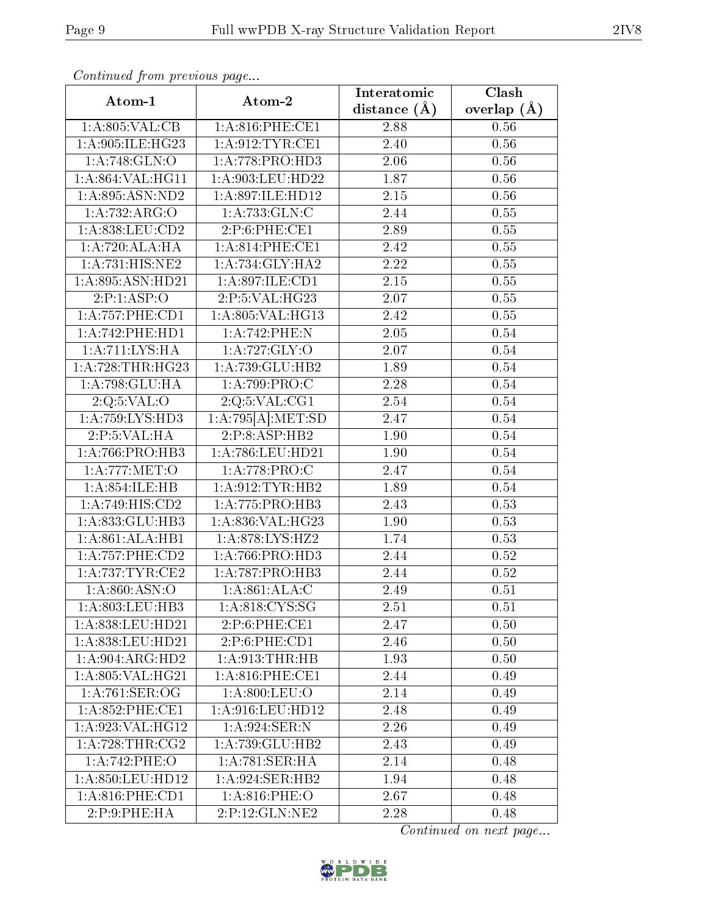| continuou provis pago<br>Atom-1           | Atom-2             | Interatomic       | $\overline{\text{Clash}}$ |
|-------------------------------------------|--------------------|-------------------|---------------------------|
|                                           |                    | distance $(\AA)$  | overlap $(\AA)$           |
| 1: A:805: VAL:CB                          | 1: A:816:PHE:CE1   | 2.88              | 0.56                      |
| 1:A:905:ILE:HG23                          | 1:A:912:TYR:CE1    | 2.40              | 0.56                      |
| 1: A:748: GLN:O                           | 1:A:778:PRO:HD3    | 2.06              | $0.56\,$                  |
| 1:A:864:VAL:HG11                          | 1:A:903:LEU:HD22   | 1.87              | 0.56                      |
| 1: A:895: ASN:ND2                         | 1:A:897:ILE:HD12   | 2.15              | 0.56                      |
| 1:A:732:ARG:O                             | 1:A:733:GLN:C      | 2.44              | 0.55                      |
| 1:A:838:LEU:CD2                           | 2:P:6:PHE:CE1      | 2.89              | $0.55\,$                  |
| 1:A:720:ALA:HA                            | 1: A:814:PHE:CE1   | 2.42              | $0.55\,$                  |
| 1: A:731: HIS: NE2                        | 1: A:734: GLY: HA2 | $\overline{2.22}$ | 0.55                      |
| 1:A:895:ASN:HD21                          | 1:A:897:ILE:CD1    | 2.15              | 0.55                      |
| 2:P:1:ASP:O                               | 2:P:5:VAL:HG23     | 2.07              | 0.55                      |
| 1:A:757:PHE:CD1                           | 1:A:805:VAL:HG13   | 2.42              | 0.55                      |
| 1: A:742: PHE: HD1                        | 1:A:742:PHE:N      | 2.05              | 0.54                      |
| 1: A: 711: LYS: HA                        | 1:A:727:GLY:O      | 2.07              | 0.54                      |
| 1:A:728:THR:HG23                          | 1:A:739:GLU:HB2    | 1.89              | 0.54                      |
| $1:A:798:\overline{\text{GLU:H}\text{A}}$ | 1:A:799:PRO:C      | 2.28              | $0.54\,$                  |
| 2:Q:5:VAL:O                               | 2:Q:5:VAL:CG1      | 2.54              | 0.54                      |
| 1:A:759:LYS:HD3                           | 1:A:795[A]:MET:SD  | 2.47              | $0.54\,$                  |
| 2:P:5:VAL:HA                              | 2:P:8:ASP:HB2      | 1.90              | $0.54\,$                  |
| 1: A:766: PRO:HB3                         | 1:A:786:LEU:HD21   | 1.90              | 0.54                      |
| 1: A:777: MET:O                           | 1: A:778: PRO:C    | 2.47              | 0.54                      |
| 1:A:854:ILE:HB                            | 1: A:912: TYR: HB2 | 1.89              | 0.54                      |
| 1:A:749:HIS:CD2                           | 1: A:775: PRO:HB3  | 2.43              | 0.53                      |
| 1:A:833:GLU:HB3                           | 1:A:836:VAL:HG23   | 1.90              | 0.53                      |
| 1:A:861:ALA:HB1                           | 1:A:878:LYS:HZ2    | 1.74              | 0.53                      |
| 1: A: 757: PHE: CD2                       | 1:A:766:PRO:HD3    | 2.44              | $0.52\,$                  |
| 1: A:737:TYR:CE2                          | 1:A:787:PRO:HB3    | 2.44              | 0.52                      |
| 1:A:860:ASN:O                             | 1: A:861:ALA:C     | 2.49              | 0.51                      |
| 1:A:803:LEU:HB3                           | 1: A:818: CYS:SG   | 2.51              | 0.51                      |
| 1:A:838:LEU:HD21                          | 2:P:6:PHE:CE1      | 2.47              | 0.50                      |
| 1:A:838:LEU:HD21                          | 2:P:6:PHE:CD1      | 2.46              | 0.50                      |
| 1: A:904: ARG:HD2                         | 1: A:913:THR:HB    | 1.93              | 0.50                      |
| 1: A:805: VAL:HG21                        | 1: A:816:PHE:CE1   | 2.44              | 0.49                      |
| $1:A:761:\overline{\text{SER:OG}}$        | 1:A:800:LEU:O      | 2.14              | 0.49                      |
| $1: A:852:$ PHE:CE1                       | 1:A:916:LEU:HD12   | 2.48              | 0.49                      |
| 1:A:923:VAL:HG12                          | 1: A:924: SER: N   | 2.26              | 0.49                      |
| 1: A:728:THR:CG2                          | 1:A:739:GLU:HB2    | 2.43              | 0.49                      |
| 1:A:742:PHE:O                             | 1: A:781: SER: HA  | 2.14              | 0.48                      |
| 1:A:850:LEU:HD12                          | 1:A:924:SER:HB2    | 1.94              | 0.48                      |
| 1: A:816: PHE:CD1                         | 1: A:816: PHE:O    | 2.67              | 0.48                      |
| 2:P:9:PHE:HA                              | 2:P:12:GLN:NE2     | 2.28              | 0.48                      |

Continued from previous page...

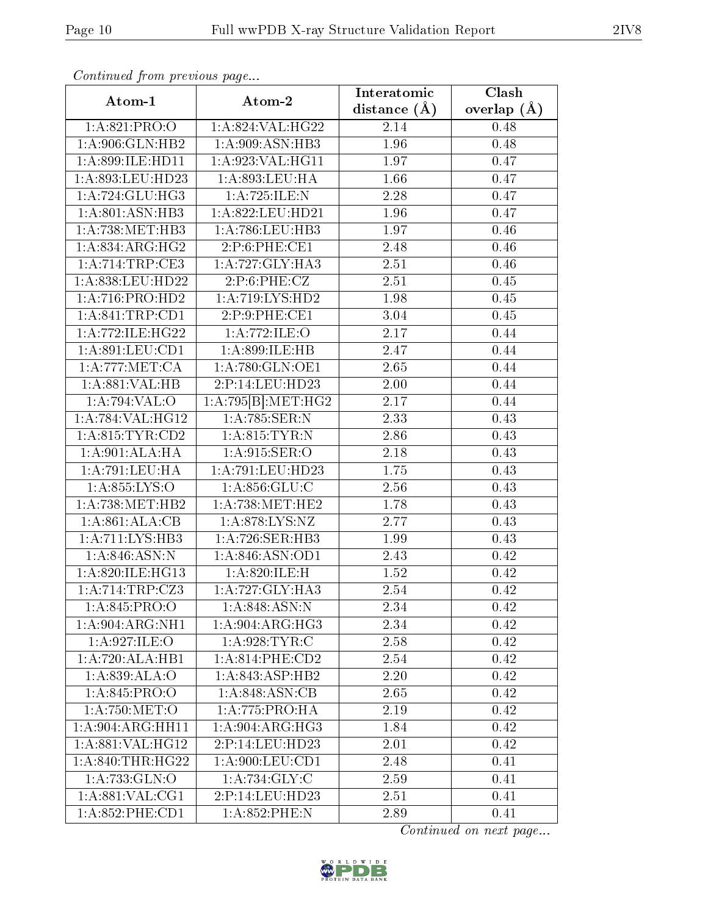| Continued from previous page           |                    | Interatomic      | $\overline{\text{Clash}}$ |
|----------------------------------------|--------------------|------------------|---------------------------|
| Atom-1                                 | Atom-2             | distance $(\AA)$ | overlap $(A)$             |
| 1:A:821:PRO:O                          | 1:A:824:VAL:HG22   | 2.14             | 0.48                      |
| 1:A:906:GLN:HB2                        | 1: A:909: ASN: HB3 | 1.96             | 0.48                      |
| 1:A:899:ILE:HD11                       | 1:A:923:VAL:HG11   | 1.97             | 0.47                      |
| 1:A:893:LEU:HD23                       | 1: A:893:LEU:HA    | 1.66             | 0.47                      |
| 1:A:724:GLU:HG3                        | 1:A:725:ILE:N      | 2.28             | 0.47                      |
| 1: A:801: ASN:HB3                      | 1:A:822:LEU:HD21   | 1.96             | 0.47                      |
| 1:A:738:MET:HB3                        | 1:A:786:LEU:HB3    | 1.97             | 0.46                      |
| 1:A:834:ARG:HG2                        | 2: P:6: PHE:CE1    | 2.48             | 0.46                      |
| 1:A:714:TRP:CE3                        | 1:A:727:GLY:HA3    | 2.51             | 0.46                      |
| 1:A:838:LEU:HD22                       | 2:P:6:PHE:CZ       | 2.51             | 0.45                      |
| 1:A:716:PRO:HD2                        | 1: A:719: LYS: HD2 | 1.98             | 0.45                      |
| 1: A:841:TRP:CD1                       | 2:P:9:PHE:CE1      | 3.04             | 0.45                      |
| 1:A:772:ILE:HG22                       | 1:A:772:ILE:O      | 2.17             | 0.44                      |
| 1:A:891:LEU:CD1                        | 1:A:899:ILE:HB     | 2.47             | 0.44                      |
| 1: A:777: MET:CA                       | 1:A:780:GLN:OE1    | 2.65             | 0.44                      |
| 1:A:881:VAL:HB                         | 2:P:14:LEU:HD23    | 2.00             | 0.44                      |
| 1:A:794:VAL:O                          | 1:A:795[B]:MET:HG2 | 2.17             | 0.44                      |
| 1:A:784:VAL:HG12                       | 1:A:785:SER:N      | 2.33             | 0.43                      |
| 1: A:815: TYR:CD2                      | 1: A:815: TYR:N    | 2.86             | 0.43                      |
| $1:A:901:AL\overline{A:H}\overline{A}$ | 1: A:915: SER:O    | 2.18             | 0.43                      |
| 1: A:791:LEU:HA                        | 1:A:791:LEU:HD23   | 1.75             | 0.43                      |
| 1: A.855: LYS:O                        | 1: A:856: GLU: C   | 2.56             | 0.43                      |
| 1: A:738:MET:HB2                       | 1: A:738:MET:HE2   | 1.78             | 0.43                      |
| 1:A:861:ALA:CB                         | 1:A:878:LYS:NZ     | 2.77             | 0.43                      |
| 1:A:711:LYS:HB3                        | 1:A:726:SER:HB3    | 1.99             | 0.43                      |
| 1: A:846: ASN:N                        | 1: A:846: ASN:OD1  | 2.43             | 0.42                      |
| 1:A:820:ILE:HG13                       | 1:A:820:ILE:H      | 1.52             | 0.42                      |
| $1:A:714:TRP: \overline{CZ3}$          | 1:A:727:GLY:HA3    | 2.54             | 0.42                      |
| 1:A:845:PRO:O                          | 1: A:848:ASN:N     | 2.34             | 0.42                      |
| 1:A:904:ARG:NH1                        | 1:A:904:ARG:HG3    | 2.34             | 0.42                      |
| 1:A:927:ILE:O                          | 1: A:928: TYR: C   | 2.58             | 0.42                      |
| 1:A:720:ALA:HB1                        | 1: A:814:PHE:CD2   | 2.54             | 0.42                      |
| 1:A:839:ALA:O                          | 1:A:843:ASP:HB2    | 2.20             | 0.42                      |
| 1: A:845: PRO:O                        | 1:A:848:ASN:CB     | 2.65             | 0.42                      |
| 1: A:750:MET:O                         | 1:A:775:PRO:HA     | 2.19             | 0.42                      |
| 1:A:904:ARG:HH11                       | 1: A:904: ARG: HG3 | 1.84             | 0.42                      |
| 1:A:881:VAL:HG12                       | 2:P:14:LEU:HD23    | 2.01             | 0.42                      |
| 1: A:840:THR:HG22                      | 1: A:900: LEU: CD1 | 2.48             | 0.41                      |
| 1:A:733:GLN:O                          | 1: A:734: GLY: C   | 2.59             | 0.41                      |
| 1: A:881: VAL:CG1                      | 2:P:14:LEU:HD23    | 2.51             | 0.41                      |
| 1: A:852:PHE:CD1                       | $1: A:852:$ PHE:N  | 2.89             | 0.41                      |

Continued from previous page.

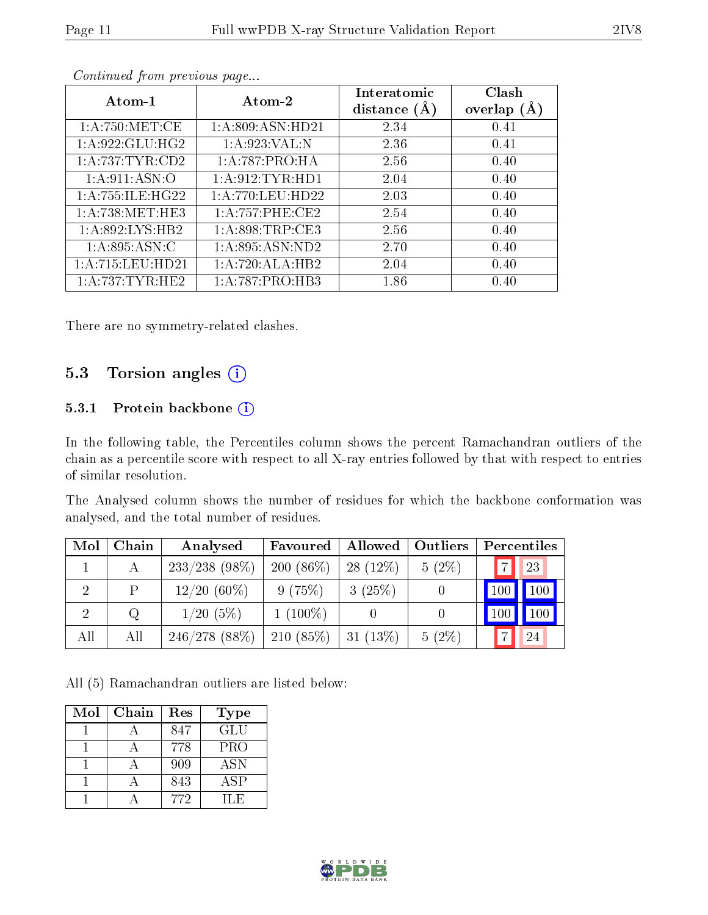| Atom-1               | Atom-2               | Interatomic<br>distance $(A)$ | Clash<br>overlap $(A)$ |
|----------------------|----------------------|-------------------------------|------------------------|
| 1: A:750:MET:CE      | 1:A:809:ASN:HD21     | 2.34                          | 0.41                   |
| 1: A:922: GLU: HG2   | 1:A:923:VAL:N        | 2.36                          | 0.41                   |
| 1: A:737:TYR:CD2     | 1:A:787:PRO:HA       | 2.56                          | 0.40                   |
| 1: A:911: ASN:O      | 1: A:912: TYR: HD1   | 2.04                          | 0.40                   |
| 1:A:755:ILE:HG22     | 1: A: 770: LEU: HD22 | 2.03                          | 0.40                   |
| 1: A:738: MET:HE3    | 1:A:757:PHE:CE2      | 2.54                          | 0.40                   |
| 1: A:892: LYS: HB2   | 1: A:898:TRP:CE3     | 2.56                          | 0.40                   |
| 1: A:895: ASN:C      | 1: A:895: ASN:ND2    | 2.70                          | 0.40                   |
| 1: A: 715: LEU: HD21 | 1:A:720:ALA:HB2      | 2.04                          | 0.40                   |
| 1: A:737:TYR:HE2     | 1: A:787: PRO:HB3    | 1.86                          | 0.40                   |

Continued from previous page...

There are no symmetry-related clashes.

### 5.3 Torsion angles (i)

#### 5.3.1 Protein backbone (i)

In the following table, the Percentiles column shows the percent Ramachandran outliers of the chain as a percentile score with respect to all X-ray entries followed by that with respect to entries of similar resolution.

The Analysed column shows the number of residues for which the backbone conformation was analysed, and the total number of residues.

| Mol | Chain | Analysed         | Favoured     | Allowed    | Outliers | Percentiles          |
|-----|-------|------------------|--------------|------------|----------|----------------------|
|     | А     | $233/238$ (98\%) | 200 $(86\%)$ | $28(12\%)$ | $5(2\%)$ | 23<br>$\overline{7}$ |
|     | P     | $12/20(60\%)$    | 9(75%)       | 3(25%)     |          | $\vert$ 100 $\vert$  |
| 2   | Q     | 1/20(5%)         | $1(100\%)$   |            |          | 100                  |
| All | All   | 246/278(88%)     | $210(85\%)$  | $31(13\%)$ | $5(2\%)$ | 24                   |

All (5) Ramachandran outliers are listed below:

| Mol | Chain | Res | <b>Type</b> |
|-----|-------|-----|-------------|
|     |       | 847 | <b>GLU</b>  |
|     |       | 778 | <b>PRO</b>  |
|     |       | 909 | <b>ASN</b>  |
|     |       | 843 | ASP         |
|     |       | 772 | H E         |

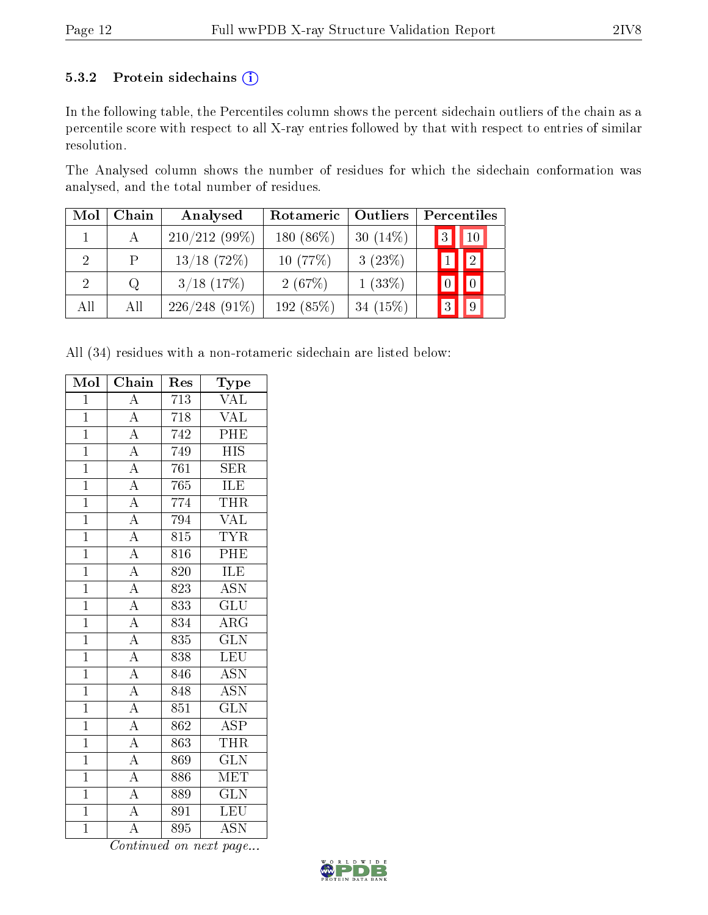#### 5.3.2 Protein sidechains (i)

In the following table, the Percentiles column shows the percent sidechain outliers of the chain as a percentile score with respect to all X-ray entries followed by that with respect to entries of similar resolution.

The Analysed column shows the number of residues for which the sidechain conformation was analysed, and the total number of residues.

| Mol            | Chain | Analysed        | Rotameric | Outliers    | Percentiles           |
|----------------|-------|-----------------|-----------|-------------|-----------------------|
|                |       | $210/212(99\%)$ | 180 (86%) | 30 $(14\%)$ | 3 <br>10 <sup>1</sup> |
|                | P     | $13/18$ (72%)   | 10(77%)   | 3(23%)      | 2                     |
| $\overline{2}$ | Q     | $3/18$ (17%)    | 2(67%)    | $1(33\%)$   |                       |
| All            | All   | $226/248(91\%)$ | 192 (85%) | 34 $(15%)$  | $\mathbf{3}$          |

All (34) residues with a non-rotameric sidechain are listed below:

| Mol            | Chain              | Res              | Type                      |
|----------------|--------------------|------------------|---------------------------|
| $\mathbf{1}$   | $\overline{A}$     | 713              | $\overline{\text{VAL}}$   |
| $\overline{1}$ | $\overline{A}$     | 718              | <b>VAL</b>                |
| $\overline{1}$ | $\overline{A}$     | $\overline{742}$ | PHE                       |
| $\overline{1}$ | $\overline{A}$     | 749              | $\overline{\mathrm{HIS}}$ |
| $\overline{1}$ | $\overline{A}$     | 761              | <b>SER</b>                |
| $\overline{1}$ | $\overline{A}$     | 765              | <b>ILE</b>                |
| $\overline{1}$ | $\overline{A}$     | 774              | THR                       |
| $\overline{1}$ | $\overline{A}$     | 794              | <b>VAL</b>                |
| $\overline{1}$ | $\overline{A}$     | 815              | <b>TYR</b>                |
| $\overline{1}$ | $\overline{A}$     | 816              | PHE                       |
| $\overline{1}$ | $\overline{A}$     | 820              | ILE                       |
| $\overline{1}$ | $\overline{A}$     | $\overline{823}$ | $\overline{\mathrm{ASN}}$ |
| $\overline{1}$ | $\overline{A}$     | 833              | $\overline{\text{GLU}}$   |
| $\overline{1}$ | $\overline{A}$     | 834              | $\overline{\rm{ARG}}$     |
| $\overline{1}$ | $\overline{A}$     | 835              | $\overline{\text{GLN}}$   |
| $\overline{1}$ | $\overline{A}$     | 838              | LEU                       |
| $\overline{1}$ | $\overline{A}$     | 846              | <b>ASN</b>                |
| $\overline{1}$ | $\overline{A}$     | 848              | $\overline{\mathrm{ASN}}$ |
| $\mathbf{1}$   | $\overline{A}$     | 851              | $\overline{\text{GLN}}$   |
| $\overline{1}$ | $\overline{A}$     | $\overline{862}$ | $\overline{\text{ASP}}$   |
| $\overline{1}$ | $\overline{A}$     | 863              | THR                       |
| $\overline{1}$ | $\overline{A}$     | 869              | $\overline{\text{GLN}}$   |
| $\overline{1}$ | $\overline{A}$     | 886              | $\overline{\text{MET}}$   |
| $\overline{1}$ | $\frac{1}{A}$      | 889              | $\overline{\text{GLN}}$   |
| $\overline{1}$ | $\overline{A}$     | $\overline{891}$ | LEU                       |
| $\overline{1}$ | $\overline{\rm A}$ | 895              | <b>ASN</b>                |

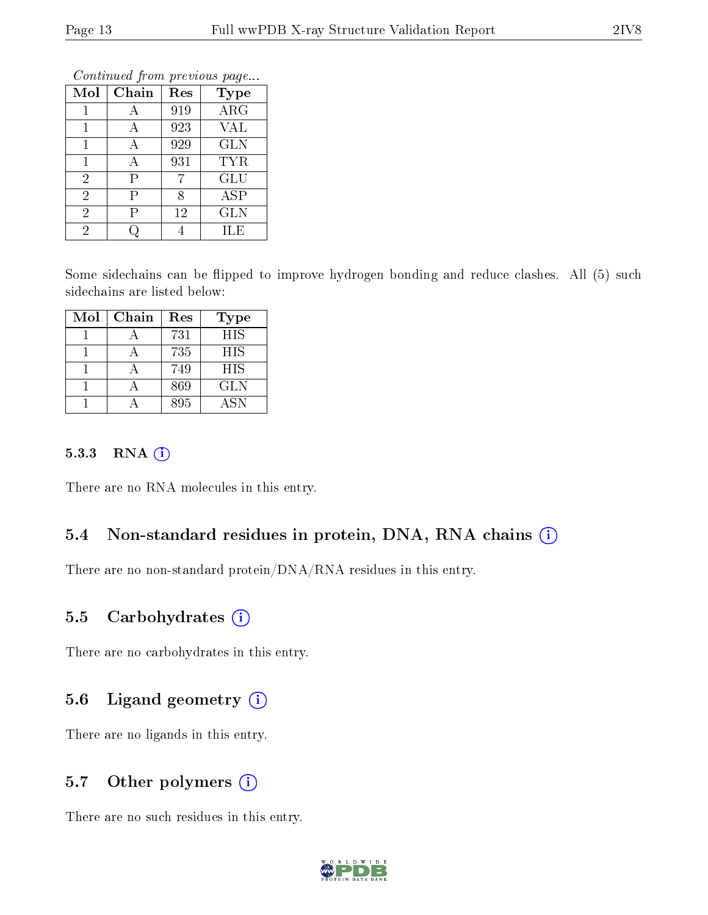| Mol            | Chain | Res | <b>Type</b> |
|----------------|-------|-----|-------------|
|                |       | 919 | ARG         |
|                | Ą     | 923 | <b>VAL</b>  |
| 1              | Α     | 929 | <b>GLN</b>  |
| 1              | А     | 931 | <b>TYR</b>  |
| $\overline{2}$ | Ρ     |     | <b>GLU</b>  |
| $\overline{2}$ | Р     | 8   | <b>ASP</b>  |
| $\overline{2}$ | Р     | 12  | <b>GLN</b>  |
| $\overline{2}$ |       |     | ILE         |

Continued from previous page...

Some sidechains can be flipped to improve hydrogen bonding and reduce clashes. All (5) such sidechains are listed below:

| Mol | Chain | Res | <b>Type</b> |
|-----|-------|-----|-------------|
|     |       | 731 | <b>HIS</b>  |
|     |       | 735 | HIS         |
|     |       | 749 | <b>HIS</b>  |
|     |       | 869 | <b>GLN</b>  |
|     |       | 895 | ASN         |

#### 5.3.3 RNA (i)

There are no RNA molecules in this entry.

#### 5.4 Non-standard residues in protein, DNA, RNA chains (i)

There are no non-standard protein/DNA/RNA residues in this entry.

#### 5.5 Carbohydrates  $(i)$

There are no carbohydrates in this entry.

#### 5.6 Ligand geometry  $(i)$

There are no ligands in this entry.

### 5.7 [O](https://www.wwpdb.org/validation/2017/XrayValidationReportHelp#nonstandard_residues_and_ligands)ther polymers (i)

There are no such residues in this entry.

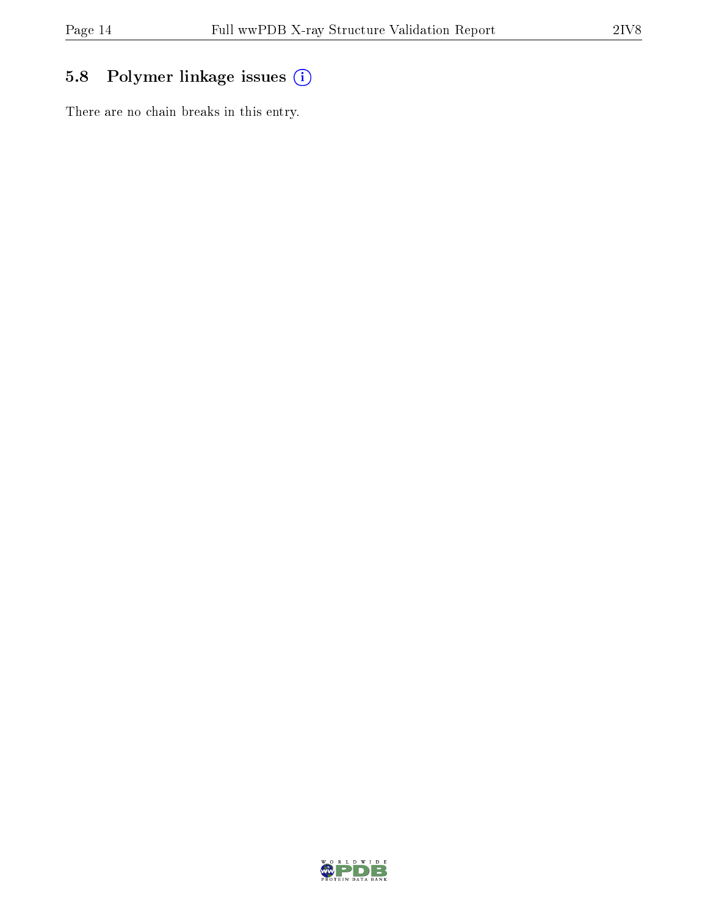## 5.8 Polymer linkage issues (i)

There are no chain breaks in this entry.